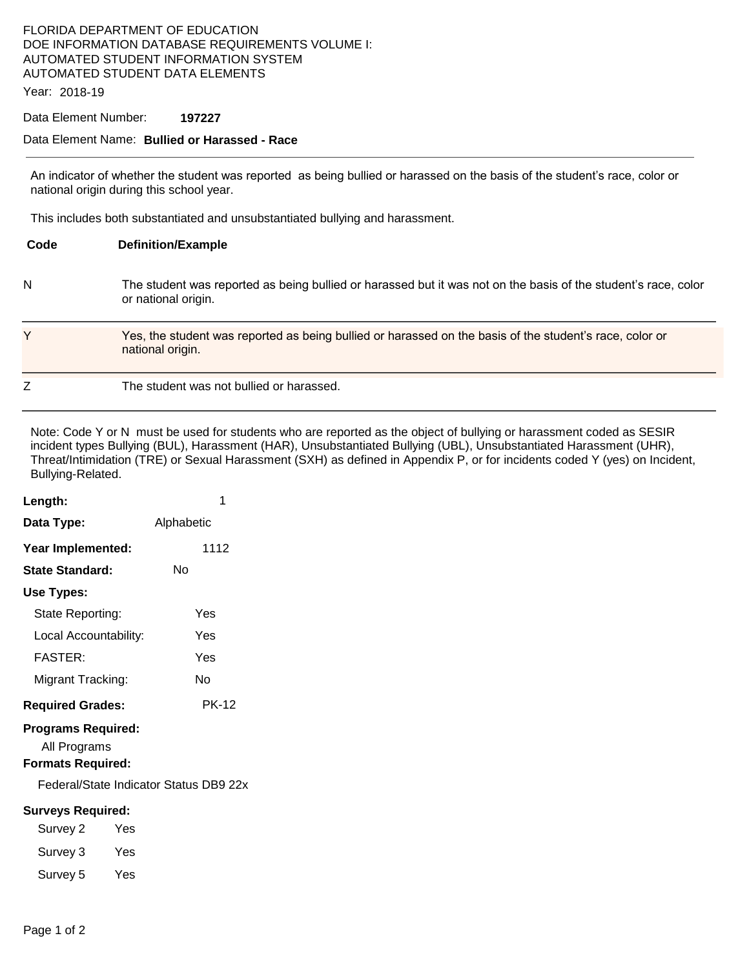## FLORIDA DEPARTMENT OF EDUCATION DOE INFORMATION DATABASE REQUIREMENTS VOLUME I: AUTOMATED STUDENT INFORMATION SYSTEM AUTOMATED STUDENT DATA ELEMENTS

Year: 2018-19

#### Data Element Number: **197227**

#### Data Element Name: **Bullied or Harassed - Race**

An indicator of whether the student was reported as being bullied or harassed on the basis of the student's race, color or national origin during this school year.

This includes both substantiated and unsubstantiated bullying and harassment.

| Code | <b>Definition/Example</b>                                                                                                             |
|------|---------------------------------------------------------------------------------------------------------------------------------------|
| N    | The student was reported as being bullied or harassed but it was not on the basis of the student's race, color<br>or national origin. |
| Y    | Yes, the student was reported as being bullied or harassed on the basis of the student's race, color or<br>national origin.           |
| Z    | The student was not bullied or harassed.                                                                                              |

Note: Code Y or N must be used for students who are reported as the object of bullying or harassment coded as SESIR incident types Bullying (BUL), Harassment (HAR), Unsubstantiated Bullying (UBL), Unsubstantiated Harassment (UHR), Threat/Intimidation (TRE) or Sexual Harassment (SXH) as defined in Appendix P, or for incidents coded Y (yes) on Incident, Bullying-Related.

| Length:                                                                                                         | 1            |  |  |  |
|-----------------------------------------------------------------------------------------------------------------|--------------|--|--|--|
| Data Type:                                                                                                      | Alphabetic   |  |  |  |
| Year Implemented:                                                                                               | 1112         |  |  |  |
| State Standard:                                                                                                 | N٥           |  |  |  |
| Use Types:                                                                                                      |              |  |  |  |
| State Reporting:                                                                                                | Yes          |  |  |  |
| Local Accountability:                                                                                           | Yes          |  |  |  |
| FASTER:                                                                                                         | Yes          |  |  |  |
| Migrant Tracking:                                                                                               | N٥           |  |  |  |
| <b>Required Grades:</b>                                                                                         | <b>PK-12</b> |  |  |  |
| <b>Programs Required:</b><br>All Programs<br><b>Formats Required:</b><br>Federal/State Indicator Status DB9 22x |              |  |  |  |
| <b>Surveys Required:</b>                                                                                        |              |  |  |  |
| Survey 2<br>Yes                                                                                                 |              |  |  |  |
| Survey 3<br>Yes                                                                                                 |              |  |  |  |

Survey 5 Yes